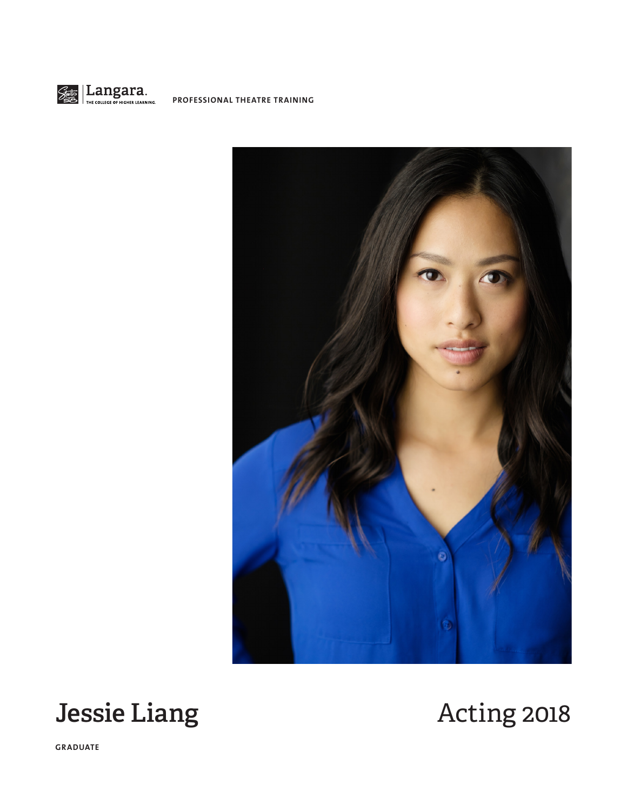





**GRADUATE**